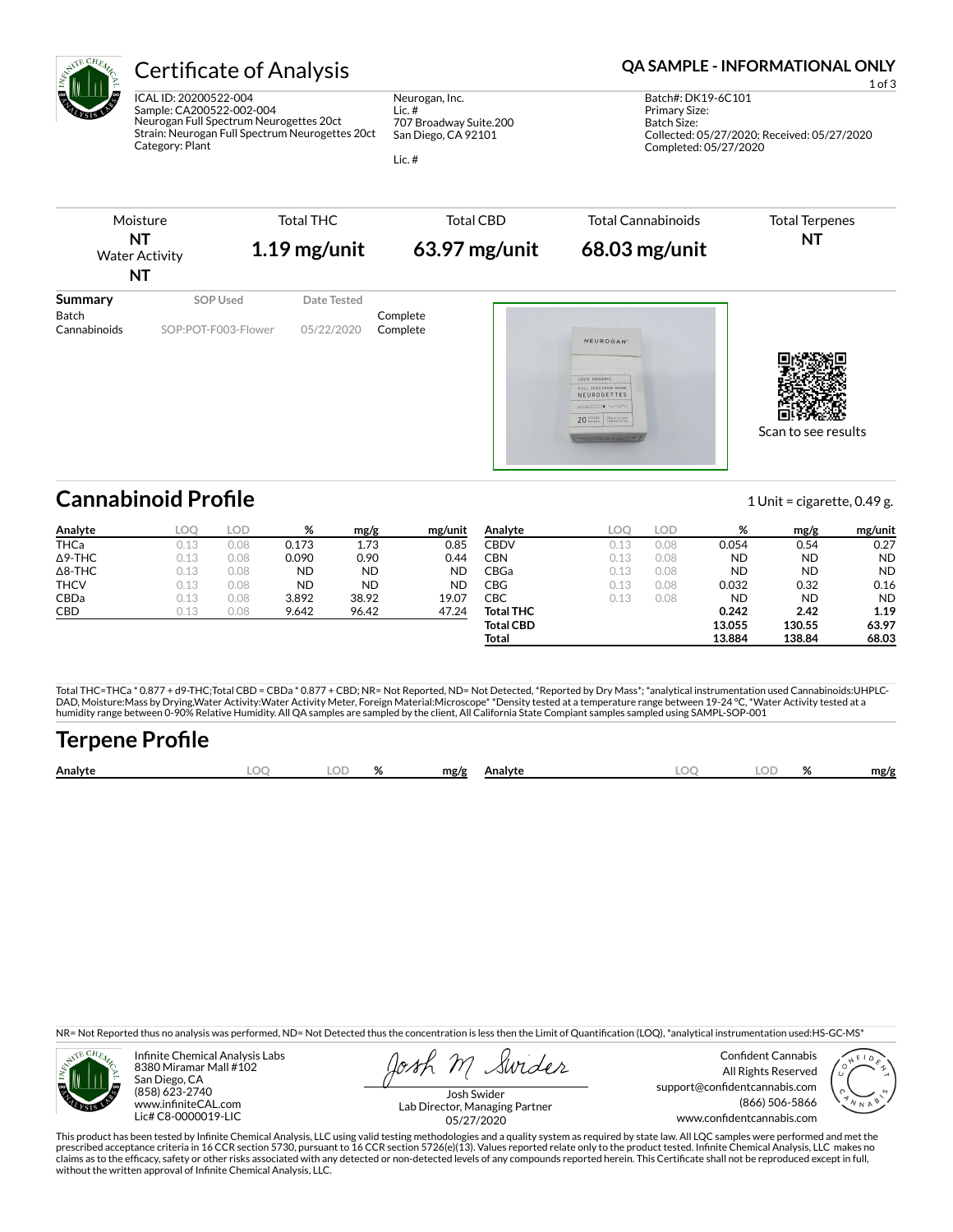

ICAL ID: 20200522-004 Sample: CA200522-002-004 Neurogan Full Spectrum Neurogettes 20ct Strain: Neurogan Full Spectrum Neurogettes 20ct Category: Plant

Neurogan, Inc. Lic. # 707 Broadway Suite.200 San Diego, CA 92101

Lic. #

### Certificate of Analysis **Certificate of Analysis QA SAMPLE - INFORMATIONAL ONLY**

1 of 3 Batch#: DK19-6C101 Primary Size: Batch Size: Collected: 05/27/2020; Received: 05/27/2020 Completed: 05/27/2020



| Analyte        | LOO  | LOD. | %         | mg/g      | mg/unit   | Analyte          | LOO  | LOD  | %         | mg/g      | mg/unit   |
|----------------|------|------|-----------|-----------|-----------|------------------|------|------|-----------|-----------|-----------|
| <b>THCa</b>    | 0.13 | 0.08 | 0.173     | 1.73      | 0.85      | CBDV             | 0.13 | 0.08 | 0.054     | 0.54      | 0.27      |
| $\Delta$ 9-THC | 0.13 | 0.08 | 0.090     | 0.90      | 0.44      | CBN              | 0.13 | 0.08 | <b>ND</b> | <b>ND</b> | <b>ND</b> |
| $\Delta$ 8-THC | 0.13 | 0.08 | <b>ND</b> | <b>ND</b> | <b>ND</b> | CBGa             | 0.13 | 0.08 | <b>ND</b> | ND        | <b>ND</b> |
| <b>THCV</b>    | 0.13 | 0.08 | <b>ND</b> | <b>ND</b> | <b>ND</b> | CBG              | 0.13 | 0.08 | 0.032     | 0.32      | 0.16      |
| CBDa           | 0.13 | 0.08 | 3.892     | 38.92     | 19.07     | СВС              | 0.13 | 0.08 | <b>ND</b> | ND        | <b>ND</b> |
| <b>CBD</b>     | 0.13 | 0.08 | 9.642     | 96.42     | 47.24     | <b>Total THC</b> |      |      | 0.242     | 2.42      | 1.19      |
|                |      |      |           |           |           | <b>Total CBD</b> |      |      | 13.055    | 130.55    | 63.97     |
|                |      |      |           |           |           | Total            |      |      | 13.884    | 138.84    | 68.03     |

Total THC=THCa \* 0.877 + d9-THC;Total CBD = CBDa \* 0.877 + CBD; NR= Not Reported, ND= Not Detected, \*Reported by Dry Mass\*; \*analytical instrumentation used Cannabinoids:UHPLC-DAD, Moisture:Mass by Drying,Water Activity:Water Activity Meter, Foreign Material:Microscope\* \*Density tested at a temperature range between 19-24 °C, \*Water Activity tested at a<br>humidity range between 0-90% Relative Humi

## **Terpene Pro×le**

|  | Analyte | ~~ |  | $\mathbf{a}$ | mg/g<br>Analyte | LOC | $\cap$<br>- - - | 01 | mg/g |
|--|---------|----|--|--------------|-----------------|-----|-----------------|----|------|
|--|---------|----|--|--------------|-----------------|-----|-----------------|----|------|

NR= Not Reported thus no analysis was performed, ND= Not Detected thus the concentration is less then the Limit of Quantification (LOQ), \*analytical instrumentation used:HS-GC-MS\*



Infinite Chemical Analysis Labs 8380 Miramar Mall #102 San Diego, CA (858) 623-2740 www.infiniteCAL.com Lic# C8-0000019-LIC

Swides

Confident Cannabis All Rights Reserved support@confidentcannabis.com (866) 506-5866 www.confidentcannabis.com



Josh Swider Lab Director, Managing Partner 05/27/2020

This product has been tested by Infinite Chemical Analysis, LLC using valid testing methodologies and a quality system as required by state law. All LQC samples were performed and met the prescribed acceptance criteria in 16 CCR section 5730, pursuant to 16 CCR section 5726(e)(13). Values reported relate only to the product tested. Infinite Chemical Analysis, LLC makes no<br>claims as to the efficacy, safety o without the written approval of Infinite Chemical Analysis, LLC.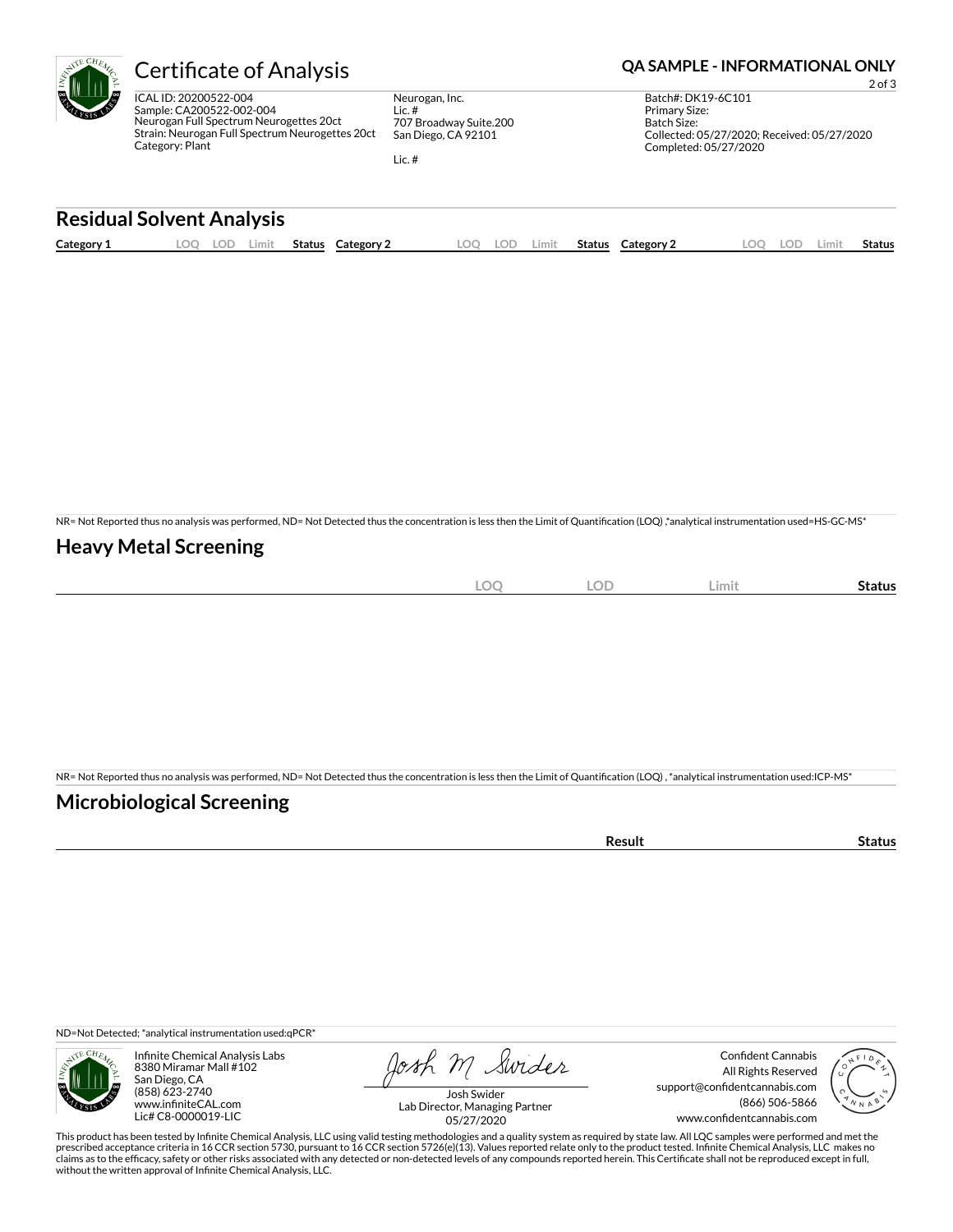

Neurogan, Inc. Lic. # 707 Broadway Suite.200 San Diego, CA 92101

Lic. #

### Certificate of Analysis **Certificate of Analysis QA SAMPLE - INFORMATIONAL ONLY**

2 of 3 Batch#: DK19-6C101 Primary Size: Batch Size: Collected: 05/27/2020; Received: 05/27/2020 Completed: 05/27/2020

# **Residual Solvent Analysis**

| Category 1 | LOC | Limit<br>LOL' | Status | Category 2 | LOO | LOD | .imit | <b>Status</b> | <b>Category 2</b> | .OO | LOD | Limit | <b>Status</b> |
|------------|-----|---------------|--------|------------|-----|-----|-------|---------------|-------------------|-----|-----|-------|---------------|
|            |     |               |        |            |     |     |       |               |                   |     |     |       |               |

NR= Not Reported thus no analysis was performed, ND= Not Detected thus the concentration is less then the Limit of Quantification (LOQ),\*analytical instrumentation used=HS-GC-MS\*

#### **Heavy Metal Screening**

| $\cap$<br>$-\!\!\smile$<br>$\sim$ | $\cap$<br>LUD | Limit | Status |
|-----------------------------------|---------------|-------|--------|
|                                   |               |       |        |

NR= Not Reported thus no analysis was performed, ND= Not Detected thus the concentration is less then the Limit of Quantification (LOQ), \*analytical instrumentation used:ICP-MS\*

#### **Microbiological Screening**

| . <b>.</b><br>sur<br>$\overline{\phantom{a}}$ | . |
|-----------------------------------------------|---|
|                                               |   |

ND=Not Detected; \*analytical instrumentation used:qPCR\*



Infinite Chemical Analysis Labs 8380 Miramar Mall #102 San Diego, CA (858) 623-2740 www.infiniteCAL.com Lic# C8-0000019-LIC

Josh M Swider

Confident Cannabis All Rights Reserved support@confidentcannabis.com (866) 506-5866 www.confidentcannabis.com



Josh Swider Lab Director, Managing Partner 05/27/2020

This product has been tested by Infinite Chemical Analysis, LLC using valid testing methodologies and a quality system as required by state law. All LQC samples were performed and met the prescribed acceptance criteria in 16 CCR section 5730, pursuant to 16 CCR section 5726(e)(13). Values reported relate only to the product tested. Infinite Chemical Analysis, LLC makes no<br>claims as to the efficacy, safety o without the written approval of Infinite Chemical Analysis, LLC.